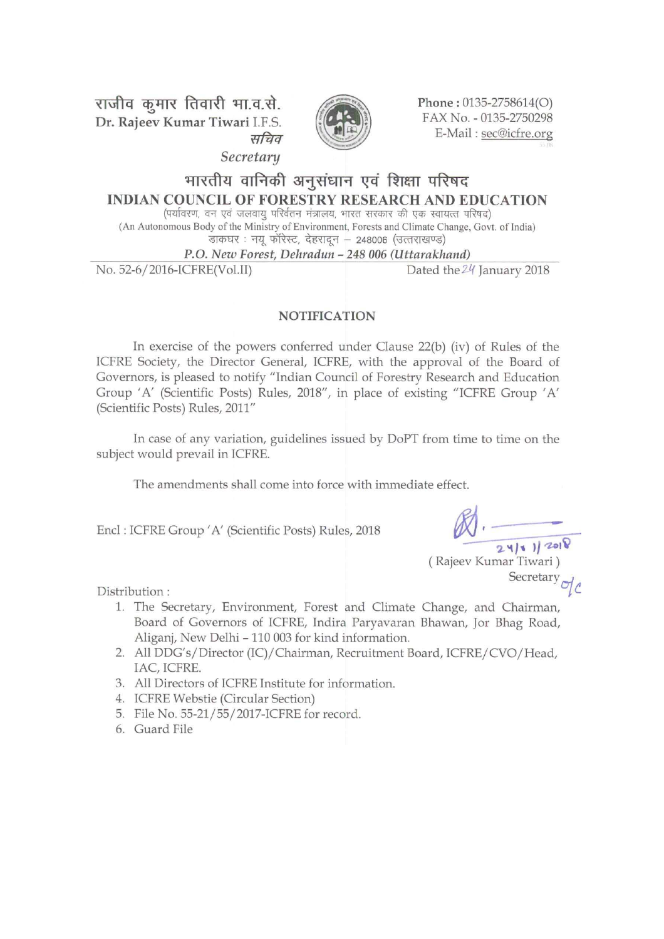राजीव कूमार तिवारी भा.व.से. Dr. Rajeev Kumar Tiwari I.F.S. सचिव



Phone: 0135-2758614(O) FAX No. - 0135-2750298 E-Mail: sec@icfre.org

Secretary

# भारतीय वानिकी अनुसंधान एवं शिक्षा परिषद **INDIAN COUNCIL OF FORESTRY RESEARCH AND EDUCATION**

(पर्यावरण, वन एवं जलवायु परिर्वतन मंत्रालय, भारत सरकार की एक स्वायत्त परिषद) (An Autonomous Body of the Ministry of Environment, Forests and Climate Change, Govt. of India) .<br>डाकघर : नयू फॉरेस्ट, देहरादून – 248006 (उत्तराखण्ड)

P.O. New Forest, Dehradun - 248 006 (Uttarakhand)

No. 52-6/2016-ICFRE(Vol.II)

Dated the 24 January 2018

#### **NOTIFICATION**

In exercise of the powers conferred under Clause  $22(b)$  (iv) of Rules of the ICFRE Society, the Director General, ICFRE, with the approval of the Board of Governors, is pleased to notify "Indian Council of Forestry Research and Education Group 'A' (Scientific Posts) Rules, 2018", in place of existing "ICFRE Group 'A' (Scientific Posts) Rules, 2011"

In case of any variation, guidelines issued by DoPT from time to time on the subject would prevail in ICFRE.

The amendments shall come into force with immediate effect.

Encl: ICFRE Group 'A' (Scientific Posts) Rules, 2018

 $24|8|120|8$ 

(Rajeev Kumar Tiwari) Secretary

Distribution:

- 1. The Secretary, Environment, Forest and Climate Change, and Chairman, Board of Governors of ICFRE, Indira Paryavaran Bhawan, Jor Bhag Road, Aliganj, New Delhi - 110 003 for kind information.
- 2. All DDG's/Director (IC)/Chairman, Recruitment Board, ICFRE/CVO/Head, IAC, ICFRE.
- 3. All Directors of ICFRE Institute for information.
- 4. ICFRE Webstie (Circular Section)
- 5. File No. 55-21/55/2017-ICFRE for record.
- 6. Guard File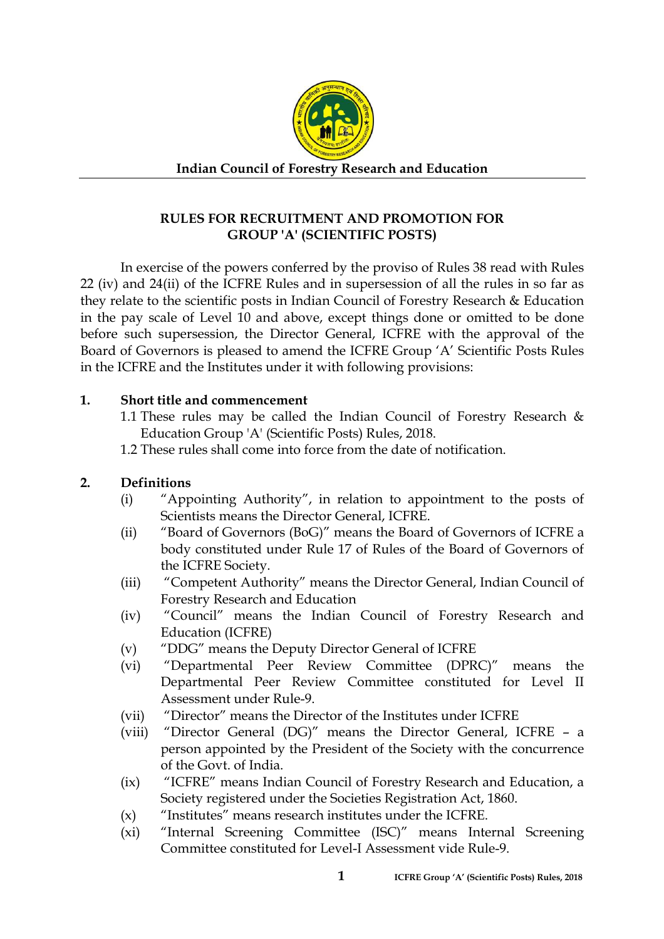

**Indian Council of Forestry Research and Education** 

# **RULES FOR RECRUITMENT AND PROMOTION FOR GROUP 'A' (SCIENTIFIC POSTS)**

In exercise of the powers conferred by the proviso of Rules 38 read with Rules 22 (iv) and 24(ii) of the ICFRE Rules and in supersession of all the rules in so far as they relate to the scientific posts in Indian Council of Forestry Research & Education in the pay scale of Level 10 and above, except things done or omitted to be done before such supersession, the Director General, ICFRE with the approval of the Board of Governors is pleased to amend the ICFRE Group 'A' Scientific Posts Rules in the ICFRE and the Institutes under it with following provisions:

# **1. Short title and commencement**

- 1.1 These rules may be called the Indian Council of Forestry Research  $\&$ Education Group 'A' (Scientific Posts) Rules, 2018.
- 1.2 These rules shall come into force from the date of notification.

# **2. Definitions**

- (i) "Appointing Authority", in relation to appointment to the posts of Scientists means the Director General, ICFRE.
- (ii) "Board of Governors (BoG)" means the Board of Governors of ICFRE a body constituted under Rule 17 of Rules of the Board of Governors of the ICFRE Society.
- (iii) "Competent Authority" means the Director General, Indian Council of Forestry Research and Education
- (iv) "Council" means the Indian Council of Forestry Research and Education (ICFRE)
- (v) "DDG" means the Deputy Director General of ICFRE
- (vi) "Departmental Peer Review Committee (DPRC)" means the Departmental Peer Review Committee constituted for Level II Assessment under Rule-9.
- (vii) "Director" means the Director of the Institutes under ICFRE
- (viii) "Director General (DG)" means the Director General, ICFRE a person appointed by the President of the Society with the concurrence of the Govt. of India.
- (ix) "ICFRE" means Indian Council of Forestry Research and Education, a Society registered under the Societies Registration Act, 1860.
- (x) "Institutes" means research institutes under the ICFRE.
- (xi) "Internal Screening Committee (ISC)" means Internal Screening Committee constituted for Level-I Assessment vide Rule-9.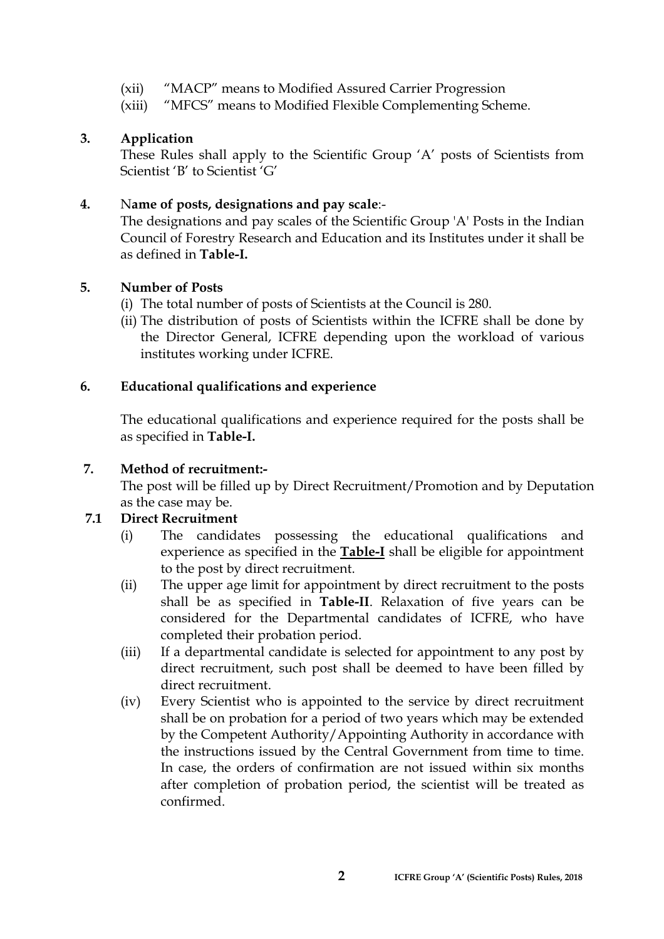- (xii) "MACP" means to Modified Assured Carrier Progression
- (xiii) "MFCS" means to Modified Flexible Complementing Scheme.

# **3. Application**

These Rules shall apply to the Scientific Group 'A' posts of Scientists from Scientist 'B' to Scientist 'G'

# **4.** N**ame of posts, designations and pay scale**:-

The designations and pay scales of the Scientific Group 'A' Posts in the Indian Council of Forestry Research and Education and its Institutes under it shall be as defined in **Table-I.**

# **5. Number of Posts**

- (i) The total number of posts of Scientists at the Council is 280.
- (ii) The distribution of posts of Scientists within the ICFRE shall be done by the Director General, ICFRE depending upon the workload of various institutes working under ICFRE.

# **6. Educational qualifications and experience**

The educational qualifications and experience required for the posts shall be as specified in **Table-I.**

# **7. Method of recruitment:-**

The post will be filled up by Direct Recruitment/Promotion and by Deputation as the case may be.

# **7.1 Direct Recruitment**

- (i) The candidates possessing the educational qualifications and experience as specified in the **Table-I** shall be eligible for appointment to the post by direct recruitment.
- (ii) The upper age limit for appointment by direct recruitment to the posts shall be as specified in **Table-II**. Relaxation of five years can be considered for the Departmental candidates of ICFRE, who have completed their probation period.
- (iii) If a departmental candidate is selected for appointment to any post by direct recruitment, such post shall be deemed to have been filled by direct recruitment.
- (iv) Every Scientist who is appointed to the service by direct recruitment shall be on probation for a period of two years which may be extended by the Competent Authority/Appointing Authority in accordance with the instructions issued by the Central Government from time to time. In case, the orders of confirmation are not issued within six months after completion of probation period, the scientist will be treated as confirmed.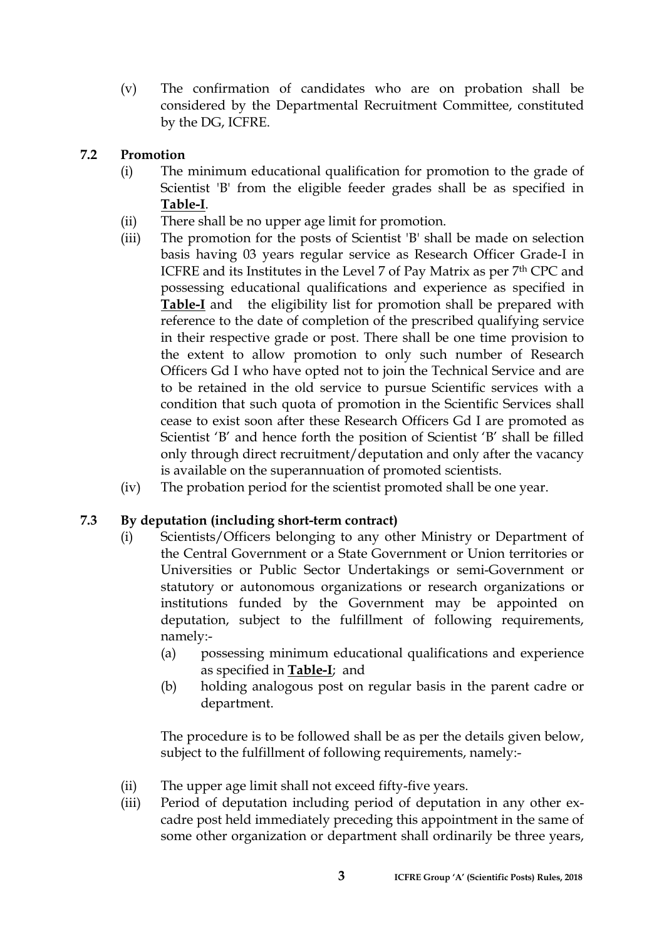(v) The confirmation of candidates who are on probation shall be considered by the Departmental Recruitment Committee, constituted by the DG, ICFRE.

# **7.2 Promotion**

- (i) The minimum educational qualification for promotion to the grade of Scientist 'B' from the eligible feeder grades shall be as specified in **Table-I**.
- (ii) There shall be no upper age limit for promotion.
- (iii) The promotion for the posts of Scientist 'B' shall be made on selection basis having 03 years regular service as Research Officer Grade-I in ICFRE and its Institutes in the Level 7 of Pay Matrix as per 7th CPC and possessing educational qualifications and experience as specified in **Table-I** and the eligibility list for promotion shall be prepared with reference to the date of completion of the prescribed qualifying service in their respective grade or post. There shall be one time provision to the extent to allow promotion to only such number of Research Officers Gd I who have opted not to join the Technical Service and are to be retained in the old service to pursue Scientific services with a condition that such quota of promotion in the Scientific Services shall cease to exist soon after these Research Officers Gd I are promoted as Scientist 'B' and hence forth the position of Scientist 'B' shall be filled only through direct recruitment/deputation and only after the vacancy is available on the superannuation of promoted scientists.
- (iv) The probation period for the scientist promoted shall be one year.

# **7.3 By deputation (including short-term contract)**

- (i) Scientists/Officers belonging to any other Ministry or Department of the Central Government or a State Government or Union territories or Universities or Public Sector Undertakings or semi-Government or statutory or autonomous organizations or research organizations or institutions funded by the Government may be appointed on deputation, subject to the fulfillment of following requirements, namely:-
	- (a) possessing minimum educational qualifications and experience as specified in **Table-I**; and
	- (b) holding analogous post on regular basis in the parent cadre or department.

The procedure is to be followed shall be as per the details given below, subject to the fulfillment of following requirements, namely:-

- (ii) The upper age limit shall not exceed fifty-five years.
- (iii) Period of deputation including period of deputation in any other excadre post held immediately preceding this appointment in the same of some other organization or department shall ordinarily be three years,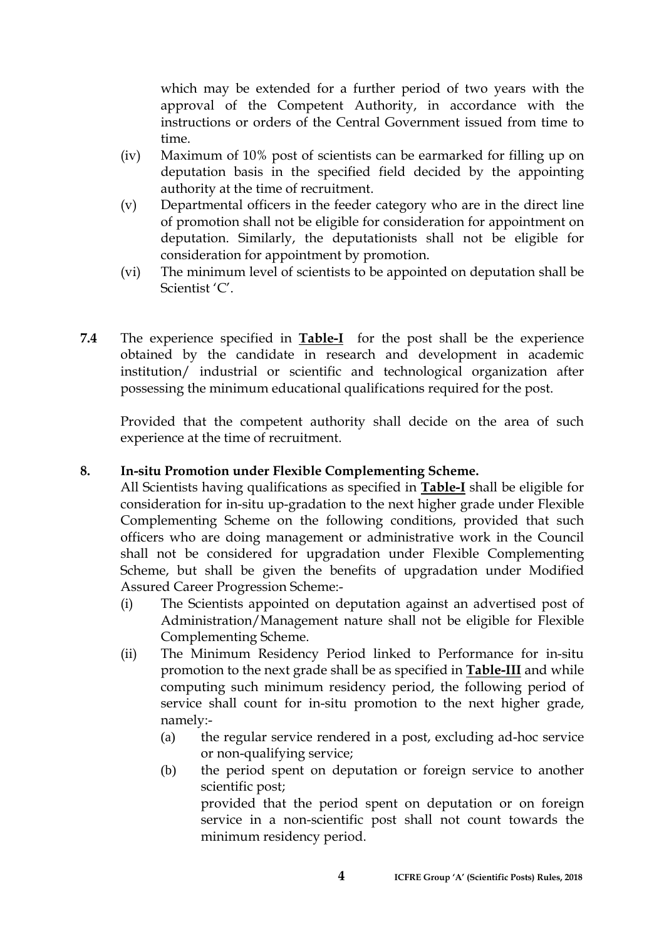which may be extended for a further period of two years with the approval of the Competent Authority, in accordance with the instructions or orders of the Central Government issued from time to time.

- (iv) Maximum of 10% post of scientists can be earmarked for filling up on deputation basis in the specified field decided by the appointing authority at the time of recruitment.
- (v) Departmental officers in the feeder category who are in the direct line of promotion shall not be eligible for consideration for appointment on deputation. Similarly, the deputationists shall not be eligible for consideration for appointment by promotion.
- (vi) The minimum level of scientists to be appointed on deputation shall be Scientist 'C'.
- **7.4** The experience specified in **Table-I** for the post shall be the experience obtained by the candidate in research and development in academic institution/ industrial or scientific and technological organization after possessing the minimum educational qualifications required for the post.

Provided that the competent authority shall decide on the area of such experience at the time of recruitment.

# **8. In-situ Promotion under Flexible Complementing Scheme.**

All Scientists having qualifications as specified in **Table-I** shall be eligible for consideration for in-situ up-gradation to the next higher grade under Flexible Complementing Scheme on the following conditions, provided that such officers who are doing management or administrative work in the Council shall not be considered for upgradation under Flexible Complementing Scheme, but shall be given the benefits of upgradation under Modified Assured Career Progression Scheme:-

- (i) The Scientists appointed on deputation against an advertised post of Administration/Management nature shall not be eligible for Flexible Complementing Scheme.
- (ii) The Minimum Residency Period linked to Performance for in-situ promotion to the next grade shall be as specified in **Table-III** and while computing such minimum residency period, the following period of service shall count for in-situ promotion to the next higher grade, namely:-
	- (a) the regular service rendered in a post, excluding ad-hoc service or non-qualifying service;
	- (b) the period spent on deputation or foreign service to another scientific post;

provided that the period spent on deputation or on foreign service in a non-scientific post shall not count towards the minimum residency period.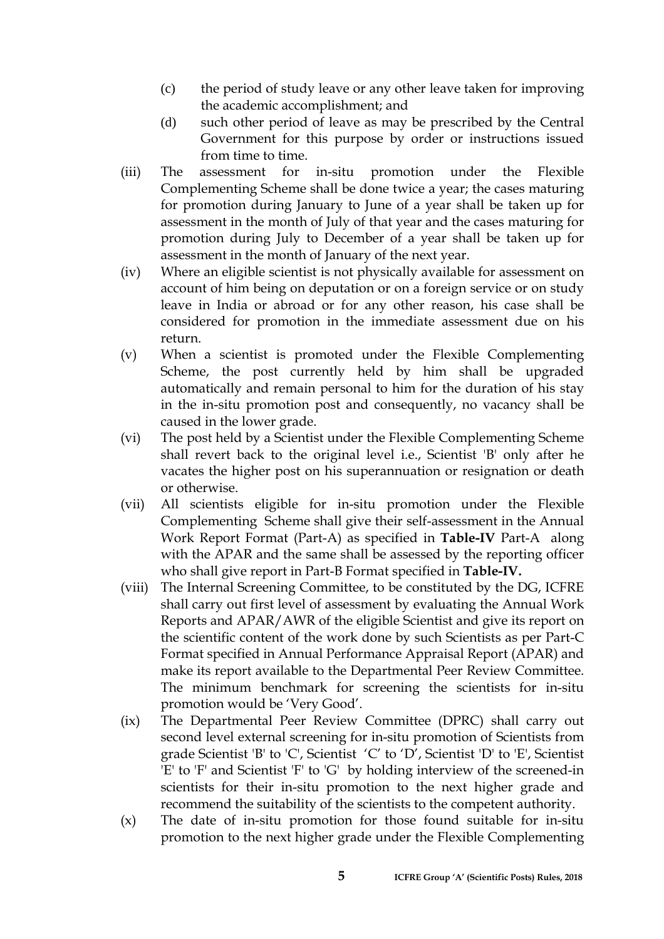- (c) the period of study leave or any other leave taken for improving the academic accomplishment; and
- (d) such other period of leave as may be prescribed by the Central Government for this purpose by order or instructions issued from time to time.
- (iii) The assessment for in-situ promotion under the Flexible Complementing Scheme shall be done twice a year; the cases maturing for promotion during January to June of a year shall be taken up for assessment in the month of July of that year and the cases maturing for promotion during July to December of a year shall be taken up for assessment in the month of January of the next year.
- (iv) Where an eligible scientist is not physically available for assessment on account of him being on deputation or on a foreign service or on study leave in India or abroad or for any other reason, his case shall be considered for promotion in the immediate assessment due on his return.
- (v) When a scientist is promoted under the Flexible Complementing Scheme, the post currently held by him shall be upgraded automatically and remain personal to him for the duration of his stay in the in-situ promotion post and consequently, no vacancy shall be caused in the lower grade.
- (vi) The post held by a Scientist under the Flexible Complementing Scheme shall revert back to the original level i.e., Scientist 'B' only after he vacates the higher post on his superannuation or resignation or death or otherwise.
- (vii) All scientists eligible for in-situ promotion under the Flexible Complementing Scheme shall give their self-assessment in the Annual Work Report Format (Part-A) as specified in **Table-IV** Part-A along with the APAR and the same shall be assessed by the reporting officer who shall give report in Part-B Format specified in **Table-IV.**
- (viii) The Internal Screening Committee, to be constituted by the DG, ICFRE shall carry out first level of assessment by evaluating the Annual Work Reports and APAR/AWR of the eligible Scientist and give its report on the scientific content of the work done by such Scientists as per Part-C Format specified in Annual Performance Appraisal Report (APAR) and make its report available to the Departmental Peer Review Committee. The minimum benchmark for screening the scientists for in-situ promotion would be 'Very Good'.
- (ix) The Departmental Peer Review Committee (DPRC) shall carry out second level external screening for in-situ promotion of Scientists from grade Scientist 'B' to 'C', Scientist 'C' to 'D', Scientist 'D' to 'E', Scientist 'E' to 'F' and Scientist 'F' to 'G' by holding interview of the screened-in scientists for their in-situ promotion to the next higher grade and recommend the suitability of the scientists to the competent authority.
- (x) The date of in-situ promotion for those found suitable for in-situ promotion to the next higher grade under the Flexible Complementing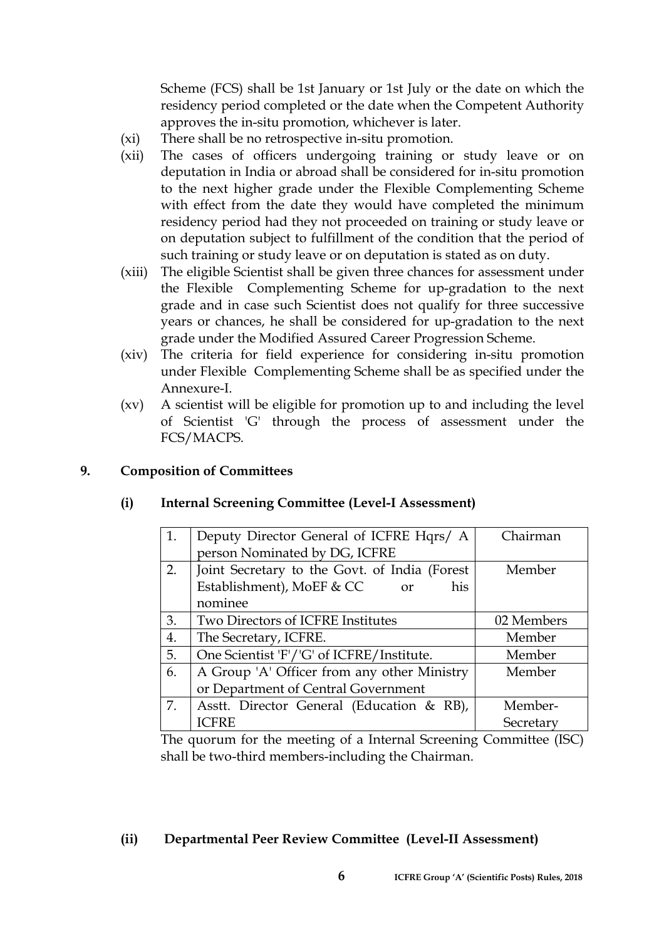Scheme (FCS) shall be 1st January or 1st July or the date on which the residency period completed or the date when the Competent Authority approves the in-situ promotion, whichever is later.

- (xi) There shall be no retrospective in-situ promotion.
- (xii) The cases of officers undergoing training or study leave or on deputation in India or abroad shall be considered for in-situ promotion to the next higher grade under the Flexible Complementing Scheme with effect from the date they would have completed the minimum residency period had they not proceeded on training or study leave or on deputation subject to fulfillment of the condition that the period of such training or study leave or on deputation is stated as on duty.
- (xiii) The eligible Scientist shall be given three chances for assessment under the Flexible Complementing Scheme for up-gradation to the next grade and in case such Scientist does not qualify for three successive years or chances, he shall be considered for up-gradation to the next grade under the Modified Assured Career Progression Scheme.
- (xiv) The criteria for field experience for considering in-situ promotion under Flexible Complementing Scheme shall be as specified under the Annexure-I.
- (xv) A scientist will be eligible for promotion up to and including the level of Scientist 'G' through the process of assessment under the FCS/MACPS.

# **9. Composition of Committees**

# **(i) Internal Screening Committee (Level-I Assessment)**

| 1. | Deputy Director General of ICFRE Hqrs/ A      | Chairman   |
|----|-----------------------------------------------|------------|
|    | person Nominated by DG, ICFRE                 |            |
| 2. | Joint Secretary to the Govt. of India (Forest | Member     |
|    | Establishment), MoEF & CC<br>his<br>or        |            |
|    | nominee                                       |            |
| 3. | Two Directors of ICFRE Institutes             | 02 Members |
| 4. | The Secretary, ICFRE.                         | Member     |
| 5. | One Scientist 'F'/'G' of ICFRE/Institute.     | Member     |
| 6. | A Group 'A' Officer from any other Ministry   | Member     |
|    | or Department of Central Government           |            |
| 7. | Asstt. Director General (Education & RB),     | Member-    |
|    | <b>ICFRE</b>                                  | Secretary  |

The quorum for the meeting of a Internal Screening Committee (ISC) shall be two-third members-including the Chairman.

#### **(ii) Departmental Peer Review Committee (Level-II Assessment)**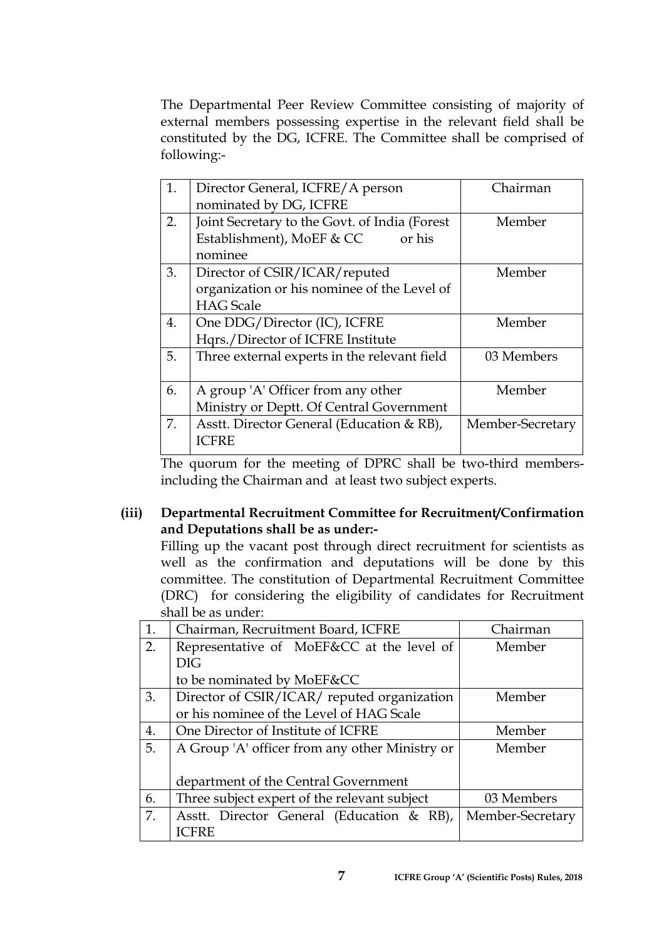The Departmental Peer Review Committee consisting of majority of external members possessing expertise in the relevant field shall be constituted by the DG, ICFRE. The Committee shall be comprised of following:-

| 1. | Director General, ICFRE/A person<br>nominated by DG, ICFRE                                       | Chairman         |
|----|--------------------------------------------------------------------------------------------------|------------------|
| 2. | Joint Secretary to the Govt. of India (Forest<br>Establishment), MoEF & CC<br>or his<br>nominee  | Member           |
| 3. | Director of CSIR/ICAR/reputed<br>organization or his nominee of the Level of<br><b>HAG</b> Scale | Member           |
| 4. | One DDG/Director (IC), ICFRE<br>Hqrs./Director of ICFRE Institute                                | Member           |
| 5. | Three external experts in the relevant field                                                     | 03 Members       |
| 6. | A group 'A' Officer from any other<br>Ministry or Deptt. Of Central Government                   | Member           |
| 7. | Asstt. Director General (Education & RB),<br><b>ICFRE</b>                                        | Member-Secretary |

The quorum for the meeting of DPRC shall be two-third membersincluding the Chairman and at least two subject experts.

# **(iii) Departmental Recruitment Committee for Recruitment/Confirmation and Deputations shall be as under:-**

Filling up the vacant post through direct recruitment for scientists as well as the confirmation and deputations will be done by this committee. The constitution of Departmental Recruitment Committee (DRC) for considering the eligibility of candidates for Recruitment shall be as under:

| 1. | Chairman, Recruitment Board, ICFRE             | Chairman         |
|----|------------------------------------------------|------------------|
| 2. | Representative of MoEF&CC at the level of      | Member           |
|    | DIG                                            |                  |
|    | to be nominated by MoEF&CC                     |                  |
| 3. | Director of CSIR/ICAR/ reputed organization    | Member           |
|    | or his nominee of the Level of HAG Scale       |                  |
| 4. | One Director of Institute of ICFRE             | Member           |
| 5. | A Group 'A' officer from any other Ministry or | Member           |
|    |                                                |                  |
|    | department of the Central Government           |                  |
| 6. | Three subject expert of the relevant subject   | 03 Members       |
| 7. | Asstt. Director General (Education & RB),      | Member-Secretary |
|    | <b>ICFRE</b>                                   |                  |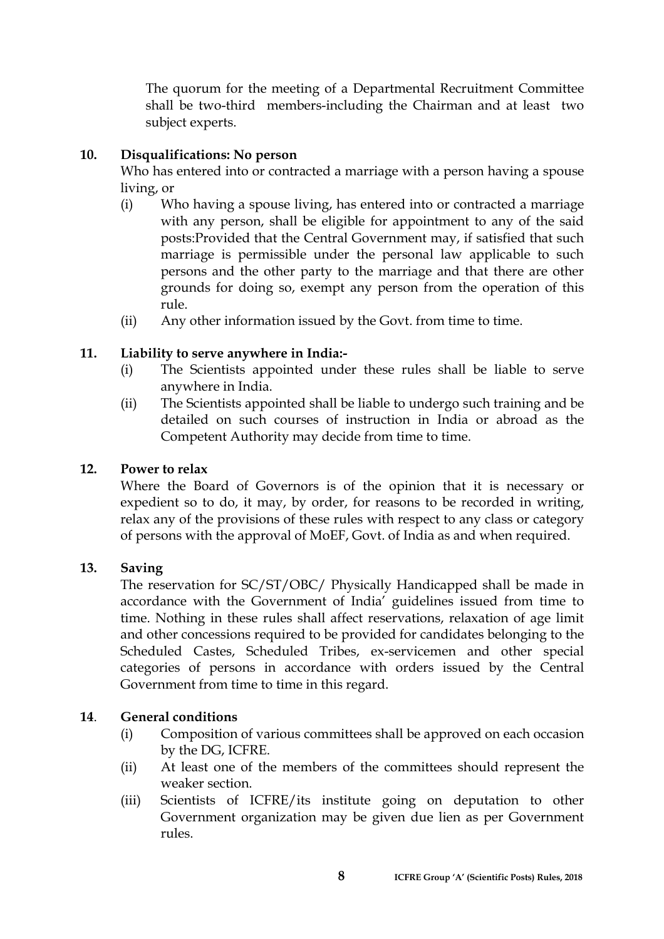The quorum for the meeting of a Departmental Recruitment Committee shall be two-third members-including the Chairman and at least two subject experts.

# **10. Disqualifications: No person**

Who has entered into or contracted a marriage with a person having a spouse living, or

- (i) Who having a spouse living, has entered into or contracted a marriage with any person, shall be eligible for appointment to any of the said posts:Provided that the Central Government may, if satisfied that such marriage is permissible under the personal law applicable to such persons and the other party to the marriage and that there are other grounds for doing so, exempt any person from the operation of this rule.
- (ii) Any other information issued by the Govt. from time to time.

# **11. Liability to serve anywhere in India:-**

- (i) The Scientists appointed under these rules shall be liable to serve anywhere in India.
- (ii) The Scientists appointed shall be liable to undergo such training and be detailed on such courses of instruction in India or abroad as the Competent Authority may decide from time to time.

#### **12. Power to relax**

Where the Board of Governors is of the opinion that it is necessary or expedient so to do, it may, by order, for reasons to be recorded in writing, relax any of the provisions of these rules with respect to any class or category of persons with the approval of MoEF, Govt. of India as and when required.

#### **13. Saving**

The reservation for SC/ST/OBC/ Physically Handicapped shall be made in accordance with the Government of India' guidelines issued from time to time. Nothing in these rules shall affect reservations, relaxation of age limit and other concessions required to be provided for candidates belonging to the Scheduled Castes, Scheduled Tribes, ex-servicemen and other special categories of persons in accordance with orders issued by the Central Government from time to time in this regard.

#### **14**. **General conditions**

- (i) Composition of various committees shall be approved on each occasion by the DG, ICFRE.
- (ii) At least one of the members of the committees should represent the weaker section.
- (iii) Scientists of ICFRE/its institute going on deputation to other Government organization may be given due lien as per Government rules.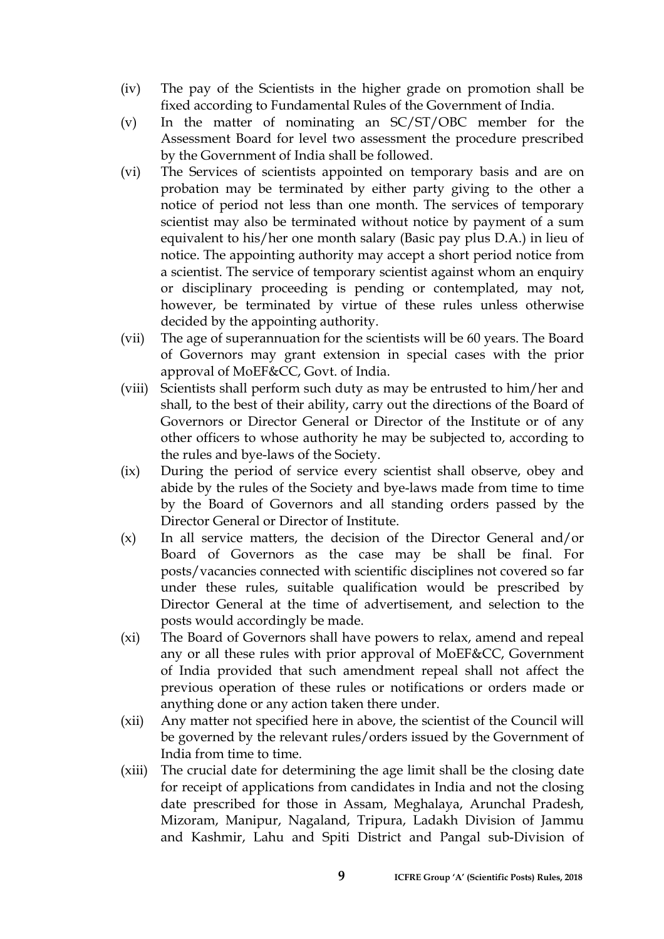- (iv) The pay of the Scientists in the higher grade on promotion shall be fixed according to Fundamental Rules of the Government of India.
- (v) In the matter of nominating an SC/ST/OBC member for the Assessment Board for level two assessment the procedure prescribed by the Government of India shall be followed.
- (vi) The Services of scientists appointed on temporary basis and are on probation may be terminated by either party giving to the other a notice of period not less than one month. The services of temporary scientist may also be terminated without notice by payment of a sum equivalent to his/her one month salary (Basic pay plus D.A.) in lieu of notice. The appointing authority may accept a short period notice from a scientist. The service of temporary scientist against whom an enquiry or disciplinary proceeding is pending or contemplated, may not, however, be terminated by virtue of these rules unless otherwise decided by the appointing authority.
- (vii) The age of superannuation for the scientists will be 60 years. The Board of Governors may grant extension in special cases with the prior approval of MoEF&CC, Govt. of India.
- (viii) Scientists shall perform such duty as may be entrusted to him/her and shall, to the best of their ability, carry out the directions of the Board of Governors or Director General or Director of the Institute or of any other officers to whose authority he may be subjected to, according to the rules and bye-laws of the Society.
- (ix) During the period of service every scientist shall observe, obey and abide by the rules of the Society and bye-laws made from time to time by the Board of Governors and all standing orders passed by the Director General or Director of Institute.
- (x) In all service matters, the decision of the Director General and/or Board of Governors as the case may be shall be final. For posts/vacancies connected with scientific disciplines not covered so far under these rules, suitable qualification would be prescribed by Director General at the time of advertisement, and selection to the posts would accordingly be made.
- (xi) The Board of Governors shall have powers to relax, amend and repeal any or all these rules with prior approval of MoEF&CC, Government of India provided that such amendment repeal shall not affect the previous operation of these rules or notifications or orders made or anything done or any action taken there under.
- (xii) Any matter not specified here in above, the scientist of the Council will be governed by the relevant rules/orders issued by the Government of India from time to time.
- (xiii) The crucial date for determining the age limit shall be the closing date for receipt of applications from candidates in India and not the closing date prescribed for those in Assam, Meghalaya, Arunchal Pradesh, Mizoram, Manipur, Nagaland, Tripura, Ladakh Division of Jammu and Kashmir, Lahu and Spiti District and Pangal sub-Division of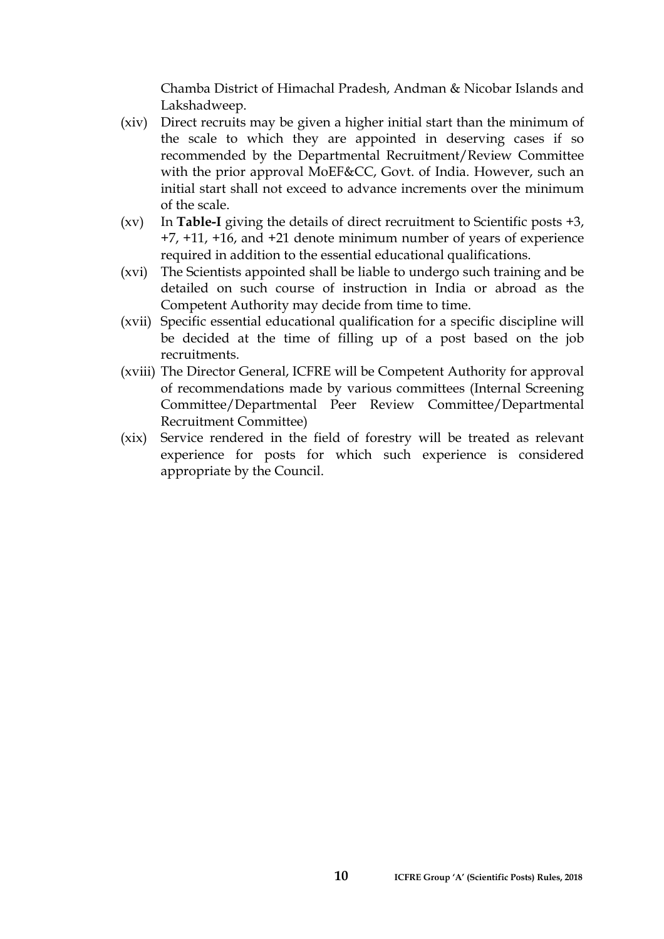Chamba District of Himachal Pradesh, Andman & Nicobar Islands and Lakshadweep.

- (xiv) Direct recruits may be given a higher initial start than the minimum of the scale to which they are appointed in deserving cases if so recommended by the Departmental Recruitment/Review Committee with the prior approval MoEF&CC, Govt. of India. However, such an initial start shall not exceed to advance increments over the minimum of the scale.
- (xv) In **Table-I** giving the details of direct recruitment to Scientific posts +3, +7, +11, +16, and +21 denote minimum number of years of experience required in addition to the essential educational qualifications.
- (xvi) The Scientists appointed shall be liable to undergo such training and be detailed on such course of instruction in India or abroad as the Competent Authority may decide from time to time.
- (xvii) Specific essential educational qualification for a specific discipline will be decided at the time of filling up of a post based on the job recruitments.
- (xviii) The Director General, ICFRE will be Competent Authority for approval of recommendations made by various committees (Internal Screening Committee/Departmental Peer Review Committee/Departmental Recruitment Committee)
- (xix) Service rendered in the field of forestry will be treated as relevant experience for posts for which such experience is considered appropriate by the Council.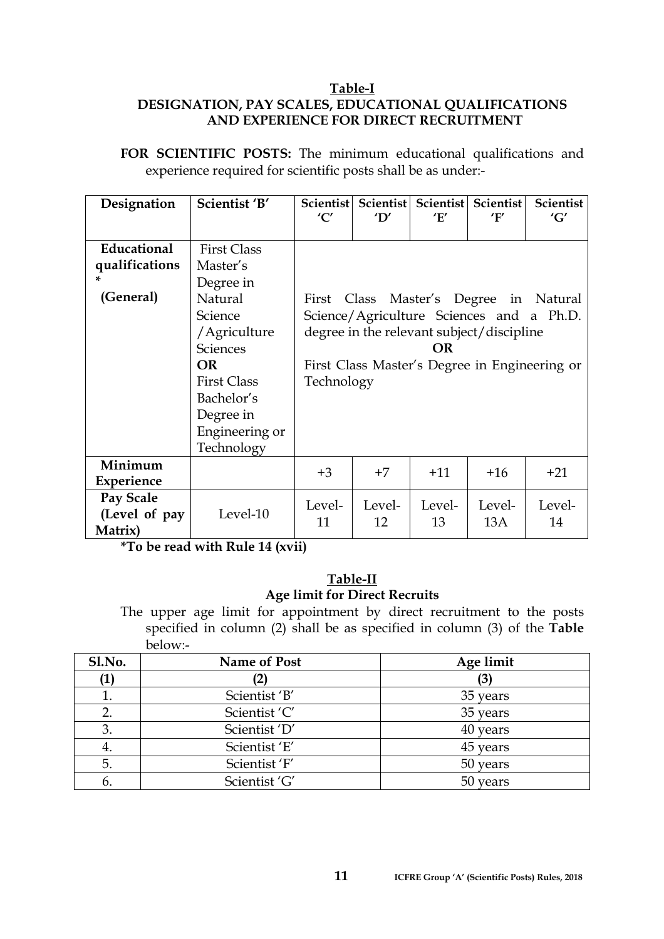#### **Table-I DESIGNATION, PAY SCALES, EDUCATIONAL QUALIFICATIONS AND EXPERIENCE FOR DIRECT RECRUITMENT**

**FOR SCIENTIFIC POSTS:** The minimum educational qualifications and experience required for scientific posts shall be as under:-

| Designation                                | Scientist 'B'                                                                                                                                                                                      | Scientist<br>'C'                                                                                                                                                                                        | 'D'          | Scientist Scientist<br>'E' | Scientist<br>'F' | <b>Scientist</b><br>'G' |
|--------------------------------------------|----------------------------------------------------------------------------------------------------------------------------------------------------------------------------------------------------|---------------------------------------------------------------------------------------------------------------------------------------------------------------------------------------------------------|--------------|----------------------------|------------------|-------------------------|
| Educational<br>qualifications<br>(General) | <b>First Class</b><br>Master's<br>Degree in<br>Natural<br>Science<br>/Agriculture<br><b>Sciences</b><br><b>OR</b><br><b>First Class</b><br>Bachelor's<br>Degree in<br>Engineering or<br>Technology | Class Master's Degree in Natural<br>First<br>Science/Agriculture Sciences and a Ph.D.<br>degree in the relevant subject/discipline<br>OR<br>First Class Master's Degree in Engineering or<br>Technology |              |                            |                  |                         |
| Minimum<br>Experience                      |                                                                                                                                                                                                    | $+3$                                                                                                                                                                                                    | $+7$         | $+11$                      | $+16$            | $+21$                   |
| Pay Scale<br>(Level of pay<br>Matrix)      | Level-10                                                                                                                                                                                           | Level-<br>11                                                                                                                                                                                            | Level-<br>12 | Level-<br>13               | Level-<br>13A    | Level-<br>14            |

**\*To be read with Rule 14 (xvii)** 

# **Table-II Age limit for Direct Recruits**

The upper age limit for appointment by direct recruitment to the posts specified in column (2) shall be as specified in column (3) of the **Table** below:-

| Sl.No. | <b>Name of Post</b> | Age limit |
|--------|---------------------|-----------|
|        |                     |           |
|        | Scientist 'B'       | 35 years  |
|        | Scientist 'C'       | 35 years  |
| 3.     | Scientist 'D'       | 40 years  |
| 4.     | Scientist 'E'       | 45 years  |
| 5.     | Scientist 'F'       | 50 years  |
| b.     | Scientist 'G'       | 50 years  |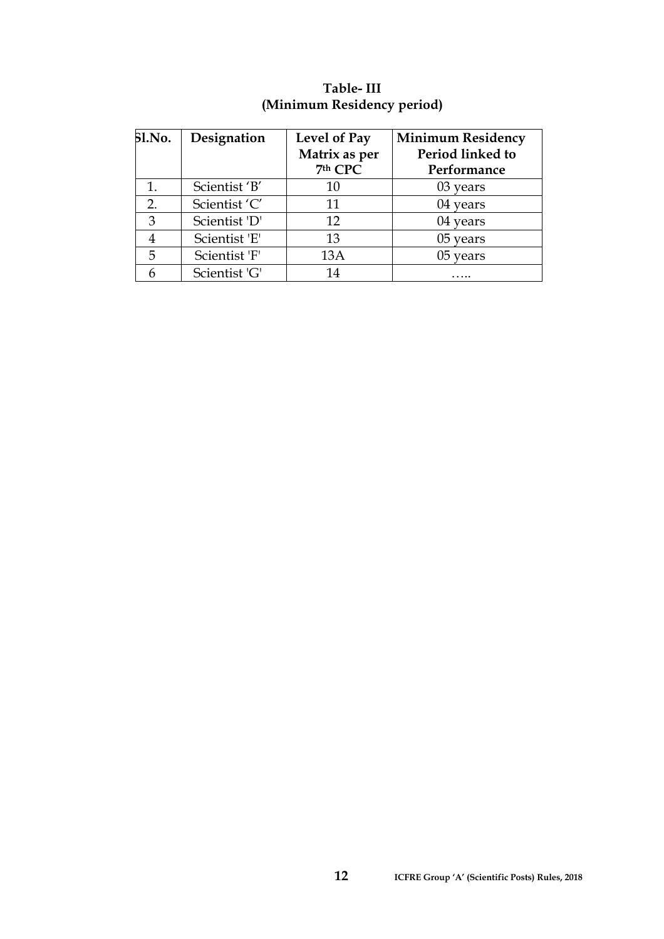| <b>Sl.No.</b> | Designation   | Level of Pay<br>Matrix as per<br>7th CPC | <b>Minimum Residency</b><br>Period linked to<br>Performance |
|---------------|---------------|------------------------------------------|-------------------------------------------------------------|
| 1.            | Scientist 'B' | 10                                       | 03 years                                                    |
| 2.            | Scientist 'C' | 11                                       | 04 years                                                    |
| 3             | Scientist 'D' | 12                                       | 04 years                                                    |
|               | Scientist 'E' | 13                                       | 05 years                                                    |
| 5             | Scientist 'F' | 13A                                      | 05 years                                                    |
|               | Scientist 'G' | 14                                       |                                                             |

# **Table- III (Minimum Residency period)**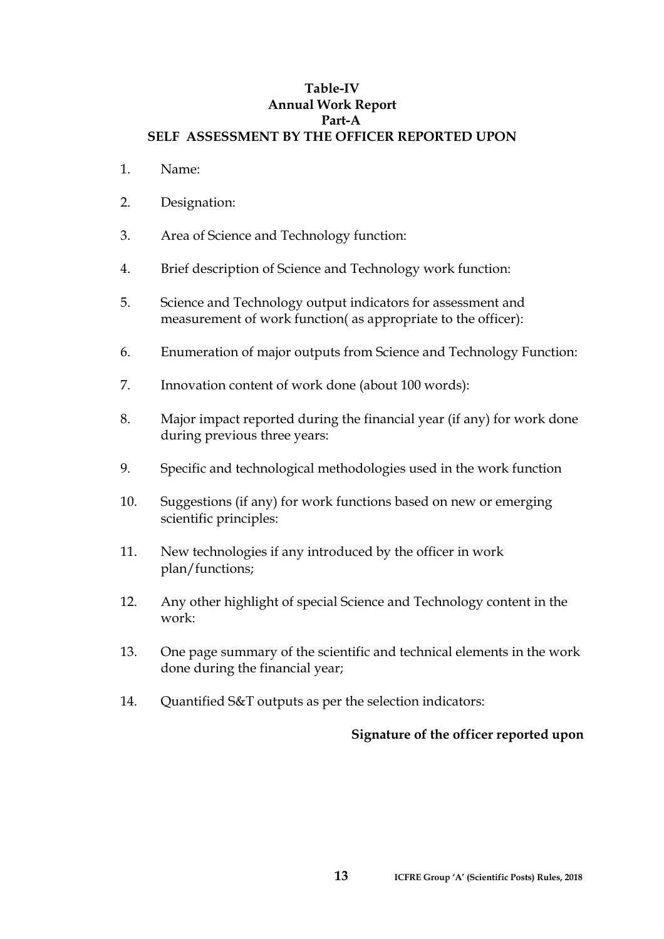#### **Table-IV Annual Work Report Part-A SELF ASSESSMENT BY THE OFFICER REPORTED UPON**

- 1. Name:
- 2. Designation:
- 3. Area of Science and Technology function:
- 4. Brief description of Science and Technology work function:
- 5. Science and Technology output indicators for assessment and measurement of work function( as appropriate to the officer):
- 6. Enumeration of major outputs from Science and Technology Function:
- 7. Innovation content of work done (about 100 words):
- 8. Major impact reported during the financial year (if any) for work done during previous three years:
- 9. Specific and technological methodologies used in the work function
- 10. Suggestions (if any) for work functions based on new or emerging scientific principles:
- 11. New technologies if any introduced by the officer in work plan/functions;
- 12. Any other highlight of special Science and Technology content in the work:
- 13. One page summary of the scientific and technical elements in the work done during the financial year;
- 14. Quantified S&T outputs as per the selection indicators:

#### **Signature of the officer reported upon**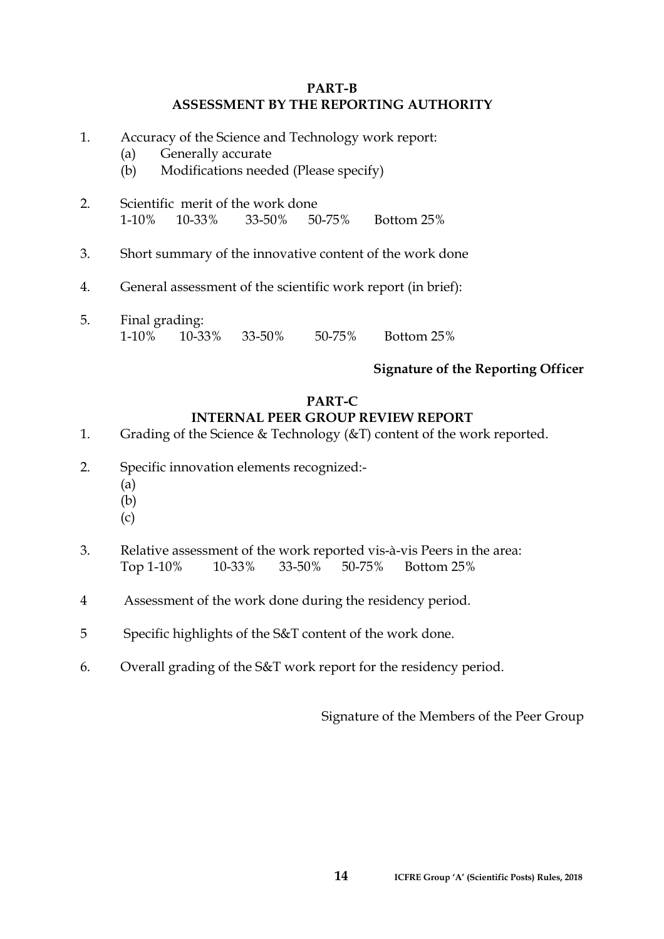#### **PART-B ASSESSMENT BY THE REPORTING AUTHORITY**

- 1. Accuracy of the Science and Technology work report:
	- (a) Generally accurate
	- (b) Modifications needed (Please specify)
- 2. Scientific merit of the work done 1-10% 10-33% 33-50% 50-75% Bottom 25%
- 3. Short summary of the innovative content of the work done
- 4. General assessment of the scientific work report (in brief):
- 5. Final grading: 1-10% 10-33% 33-50% 50-75% Bottom 25%

# **Signature of the Reporting Officer**

#### **PART-C INTERNAL PEER GROUP REVIEW REPORT**

- 1. Grading of the Science & Technology ( $\&$ T) content of the work reported.
- 2. Specific innovation elements recognized:-
	- (a)
	- (b)
	- (c)
- 3. Relative assessment of the work reported vis-à-vis Peers in the area: Top 1-10% 10-33% 33-50% 50-75% Bottom 25%
- 4 Assessment of the work done during the residency period.
- 5 Specific highlights of the S&T content of the work done.
- 6. Overall grading of the S&T work report for the residency period.

Signature of the Members of the Peer Group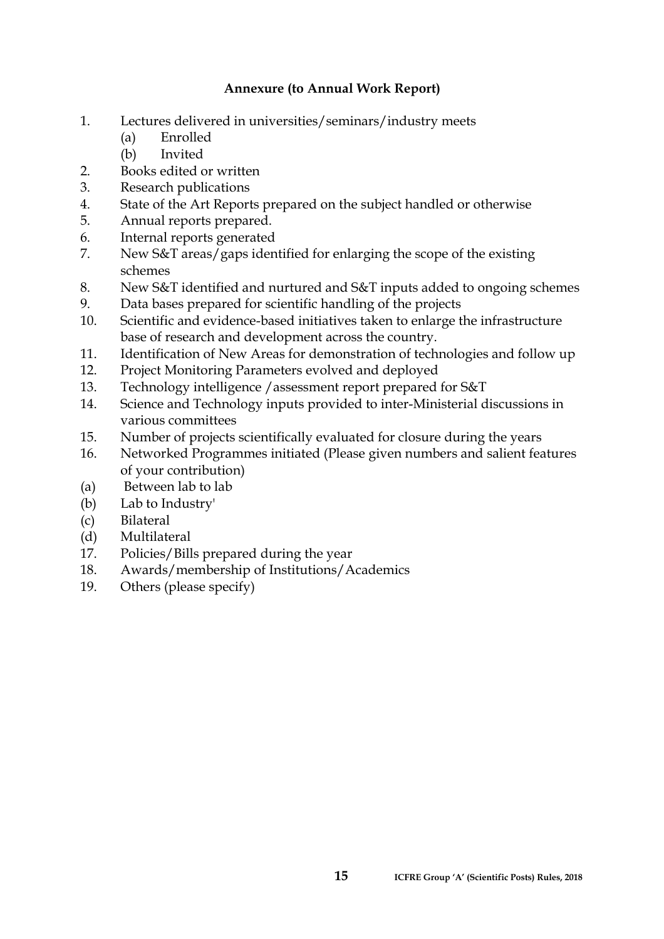# **Annexure (to Annual Work Report)**

- 1. Lectures delivered in universities/seminars/industry meets
	- (a) Enrolled
	- (b) Invited
- 2. Books edited or written
- 3. Research publications
- 4. State of the Art Reports prepared on the subject handled or otherwise
- 5. Annual reports prepared.
- 6. Internal reports generated
- 7. New S&T areas/gaps identified for enlarging the scope of the existing schemes
- 8. New S&T identified and nurtured and S&T inputs added to ongoing schemes
- 9. Data bases prepared for scientific handling of the projects
- 10. Scientific and evidence-based initiatives taken to enlarge the infrastructure base of research and development across the country.
- 11. Identification of New Areas for demonstration of technologies and follow up
- 12. Project Monitoring Parameters evolved and deployed
- 13. Technology intelligence /assessment report prepared for S&T
- 14. Science and Technology inputs provided to inter-Ministerial discussions in various committees
- 15. Number of projects scientifically evaluated for closure during the years
- 16. Networked Programmes initiated (Please given numbers and salient features of your contribution)
- (a) Between lab to lab
- (b) Lab to Industry'
- (c) Bilateral
- (d) Multilateral
- 17. Policies/Bills prepared during the year
- 18. Awards/membership of Institutions/Academics
- 19. Others (please specify)